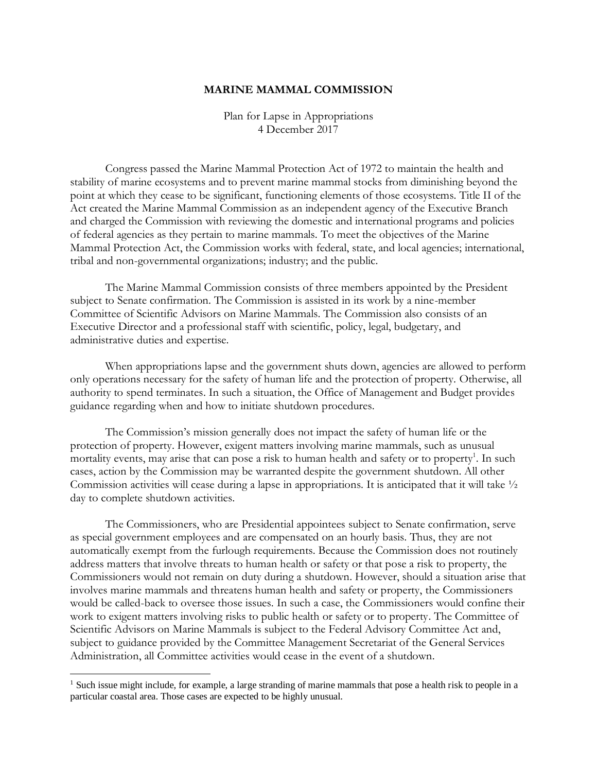## **MARINE MAMMAL COMMISSION**

Plan for Lapse in Appropriations 4 December 2017

Congress passed the Marine Mammal Protection Act of 1972 to maintain the health and stability of marine ecosystems and to prevent marine mammal stocks from diminishing beyond the point at which they cease to be significant, functioning elements of those ecosystems. Title II of the Act created the Marine Mammal Commission as an independent agency of the Executive Branch and charged the Commission with reviewing the domestic and international programs and policies of federal agencies as they pertain to marine mammals. To meet the objectives of the Marine Mammal Protection Act, the Commission works with federal, state, and local agencies; international, tribal and non-governmental organizations; industry; and the public.

The Marine Mammal Commission consists of three members appointed by the President subject to Senate confirmation. The Commission is assisted in its work by a nine-member Committee of Scientific Advisors on Marine Mammals. The Commission also consists of an Executive Director and a professional staff with scientific, policy, legal, budgetary, and administrative duties and expertise.

When appropriations lapse and the government shuts down, agencies are allowed to perform only operations necessary for the safety of human life and the protection of property. Otherwise, all authority to spend terminates. In such a situation, the Office of Management and Budget provides guidance regarding when and how to initiate shutdown procedures.

The Commission's mission generally does not impact the safety of human life or the protection of property. However, exigent matters involving marine mammals, such as unusual mortality events, may arise that can pose a risk to human health and safety or to property<sup>1</sup>. In such cases, action by the Commission may be warranted despite the government shutdown. All other Commission activities will cease during a lapse in appropriations. It is anticipated that it will take ½ day to complete shutdown activities.

The Commissioners, who are Presidential appointees subject to Senate confirmation, serve as special government employees and are compensated on an hourly basis. Thus, they are not automatically exempt from the furlough requirements. Because the Commission does not routinely address matters that involve threats to human health or safety or that pose a risk to property, the Commissioners would not remain on duty during a shutdown. However, should a situation arise that involves marine mammals and threatens human health and safety or property, the Commissioners would be called-back to oversee those issues. In such a case, the Commissioners would confine their work to exigent matters involving risks to public health or safety or to property. The Committee of Scientific Advisors on Marine Mammals is subject to the Federal Advisory Committee Act and, subject to guidance provided by the Committee Management Secretariat of the General Services Administration, all Committee activities would cease in the event of a shutdown.

 $\overline{a}$ 

<sup>&</sup>lt;sup>1</sup> Such issue might include, for example, a large stranding of marine mammals that pose a health risk to people in a particular coastal area. Those cases are expected to be highly unusual.